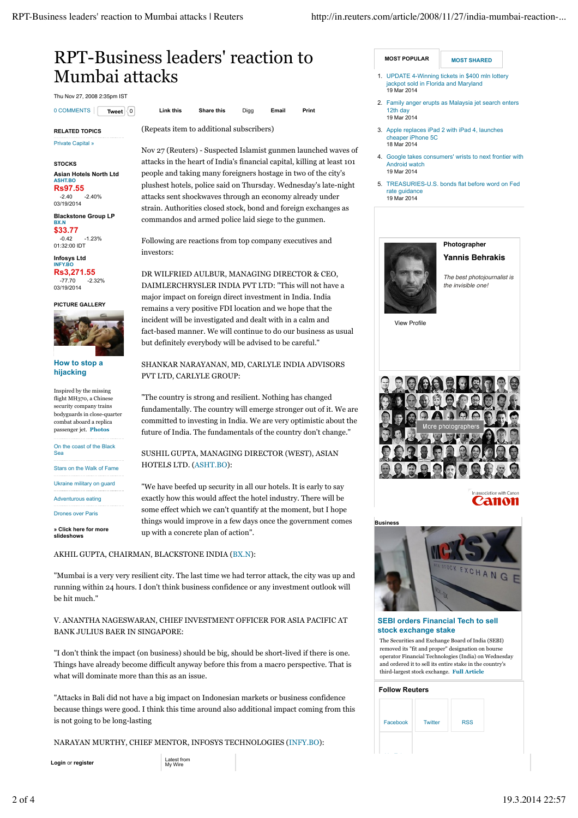# RPT-Business leaders' reaction to Mumbai attacks

Thu Nov 27, 2008 2:35pm IST

#### **RELATED TOPICS**

Private Capital »

#### **STOCKS**

**Asian Hotels North Ltd ASHT.BO Rs97.55**

-2.40 -2.40% 03/19/2014 **Blackstone Group LP BX.N** 

**\$33.77**

-0.42 -1.23% 01:32:00 IDT **Infosys Ltd**

**INFY.BO Rs3,271.55**  $-2.32%$ 03/19/2014

**PICTURE GALLERY**



### **How to stop a hijacking**

Inspired by the missing flight MH<sub>370</sub>, a Chinese security company trains bodyguards in close-quarter combat aboard a replica passenger jet. **Photos**

On the coast of the Black Sea

Stars on the Walk of Fame

Ukraine military on guard

Adventurous eating

Drones over Paris

**» Click here for more slideshows**

0 COMMENTS **Tweet** 0 **Link this Share this** Digg **Email Print**

(Repeats item to additional subscribers)

Nov 27 (Reuters) - Suspected Islamist gunmen launched waves of attacks in the heart of India's financial capital, killing at least 101 people and taking many foreigners hostage in two of the city's plushest hotels, police said on Thursday. Wednesday's late-night attacks sent shockwaves through an economy already under strain. Authorities closed stock, bond and foreign exchanges as commandos and armed police laid siege to the gunmen.

Following are reactions from top company executives and investors:

DR WILFRIED AULBUR, MANAGING DIRECTOR & CEO, DAIMLERCHRYSLER INDIA PVT LTD: "This will not have a major impact on foreign direct investment in India. India remains a very positive FDI location and we hope that the incident will be investigated and dealt with in a calm and fact-based manner. We will continue to do our business as usual but definitely everybody will be advised to be careful."

# SHANKAR NARAYANAN, MD, CARLYLE INDIA ADVISORS PVT LTD, CARLYLE GROUP:

"The country is strong and resilient. Nothing has changed fundamentally. The country will emerge stronger out of it. We are committed to investing in India. We are very optimistic about the future of India. The fundamentals of the country don't change."

SUSHIL GUPTA, MANAGING DIRECTOR (WEST), ASIAN HOTELS LTD. (ASHT.BO):

"We have beefed up security in all our hotels. It is early to say exactly how this would affect the hotel industry. There will be some effect which we can't quantify at the moment, but I hope things would improve in a few days once the government comes up with a concrete plan of action".

# AKHIL GUPTA, CHAIRMAN, BLACKSTONE INDIA (BX.N):

"Mumbai is a very very resilient city. The last time we had terror attack, the city was up and running within 24 hours. I don't think business confidence or any investment outlook will be hit much."

V. ANANTHA NAGESWARAN, CHIEF INVESTMENT OFFICER FOR ASIA PACIFIC AT BANK JULIUS BAER IN SINGAPORE:

"I don't think the impact (on business) should be big, should be short-lived if there is one. Things have already become difficult anyway before this from a macro perspective. That is what will dominate more than this as an issue.

"Attacks in Bali did not have a big impact on Indonesian markets or business confidence because things were good. I think this time around also additional impact coming from this is not going to be long-lasting

NARAYAN MURTHY, CHIEF MENTOR, INFOSYS TECHNOLOGIES (INFY.BO):

**Login** or **register** 

Latest from<br>My Wire

**MOST POPULAR MOST SHARED** 

- UPDATE 4-Winning tickets in \$400 mln lottery jackpot sold in Florida and Maryland 19 Mar 2014 1.
- 2. Family anger erupts as Malaysia jet search enters 12th day 19 Mar 2014
- 3. Apple replaces iPad 2 with iPad 4, launches cheaper iPhone 5C 18 Mar 2014
- 4. Google takes consumers' wrists to next frontier with Android watch 19 Mar 2014
- 5. TREASURIES-U.S. bonds flat before word on Fed rate guidance 19 Mar 2014



# **Photographer**

### **Yannis Behrakis**

*The best photojournalist is the invisible one!*

View Profile



Canon



**SEBI orders Financial Tech to sell stock exchange stake**

The Securities and Exchange Board of India (SEBI) removed its "fit and proper" designation on bourse operator Financial Technologies (India) on Wednesday and ordered it to sell its entire stake in the country's third-largest stock exchange. **Full Article**

#### **Follow Reuters**

| Facebook | <b>Twitter</b> | <b>RSS</b> |
|----------|----------------|------------|
|          |                |            |